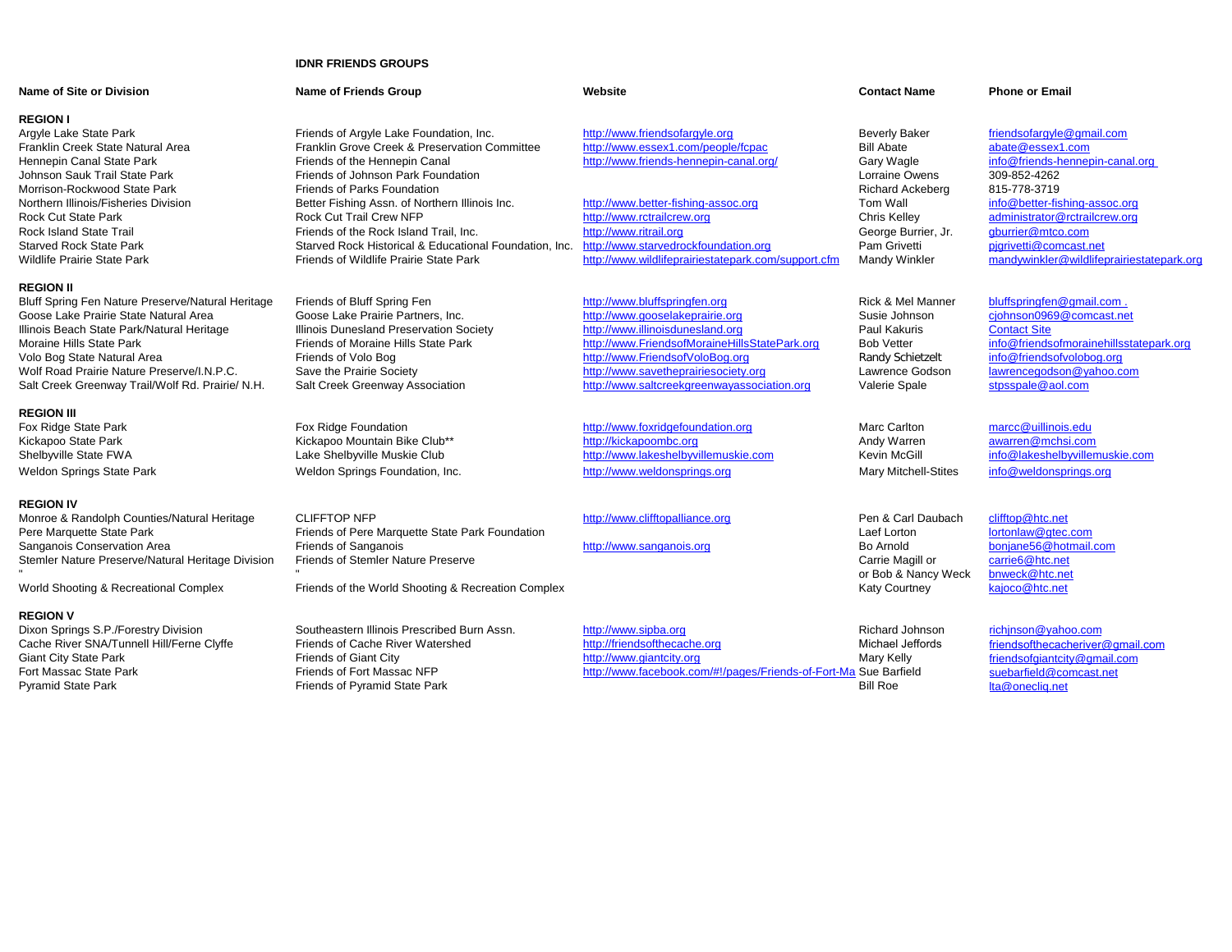## **IDNR FRIENDS GROUPS**

| Name of Site or Division                          | <b>Name of Friends Group</b>                           | Website                                             | <b>Contact Name</b>          | <b>Phone or Email</b>                     |
|---------------------------------------------------|--------------------------------------------------------|-----------------------------------------------------|------------------------------|-------------------------------------------|
| <b>REGION I</b>                                   |                                                        |                                                     |                              |                                           |
| Argyle Lake State Park                            | Friends of Argyle Lake Foundation, Inc.                | http://www.friendsofargyle.org                      | <b>Beverly Baker</b>         | friendsofargyle@gmail.com                 |
| Franklin Creek State Natural Area                 | Franklin Grove Creek & Preservation Committee          | http://www.essex1.com/people/fcpac                  | <b>Bill Abate</b>            | abate@essex1.com                          |
| Hennepin Canal State Park                         | Friends of the Hennepin Canal                          | http://www.friends-hennepin-canal.org/              | <b>Gary Wagle</b>            | info@friends-hennepin-canal.org           |
| Johnson Sauk Trail State Park                     | Friends of Johnson Park Foundation                     |                                                     | <b>Lorraine Owens</b>        | 309-852-4262                              |
| Morrison-Rockwood State Park                      | Friends of Parks Foundation                            |                                                     | Richard Ackeberg             | 815-778-3719                              |
| Northern Illinois/Fisheries Division              | Better Fishing Assn. of Northern Illinois Inc.         | http://www.better-fishing-assoc.org                 | Tom Wall                     | info@better-fishing-assoc.org             |
| <b>Rock Cut State Park</b>                        | <b>Rock Cut Trail Crew NFP</b>                         | http://www.rctrailcrew.org                          | Chris Kelley                 | administrator@rctrailcrew.org             |
| <b>Rock Island State Trail</b>                    | Friends of the Rock Island Trail. Inc.                 | http://www.ritrail.org                              | George Burrier, Jr.          | qburrier@mtco.com                         |
| <b>Starved Rock State Park</b>                    | Starved Rock Historical & Educational Foundation, Inc. | http://www.starvedrockfoundation.org                | Pam Grivetti                 | pigrivetti@comcast.net                    |
| Wildlife Prairie State Park                       | Friends of Wildlife Prairie State Park                 | http://www.wildlifeprairiestatepark.com/support.cfm | <b>Mandy Winkler</b>         | mandywinkler@wildlifeprairiestatepark.org |
| <b>REGION II</b>                                  |                                                        |                                                     |                              |                                           |
| Bluff Spring Fen Nature Preserve/Natural Heritage | Friends of Bluff Spring Fen                            | http://www.bluffspringfen.org                       | <b>Rick &amp; Mel Manner</b> | bluffspringfen@gmail.com.                 |
| Goose Lake Prairie State Natural Area             | Goose Lake Prairie Partners, Inc.                      | http://www.gooselakeprairie.org                     | Susie Johnson                | cjohnson0969@comcast.net                  |
| Illinois Beach State Park/Natural Heritage        | Illinois Dunesland Preservation Society                | http://www.illinoisdunesland.org                    | Paul Kakuris                 | <b>Contact Site</b>                       |
| Moraine Hills State Park                          | Friends of Moraine Hills State Park                    | http://www.FriendsofMoraineHillsStatePark.org       | <b>Bob Vetter</b>            | info@friendsofmorainehillsstatepark.org   |
| Volo Bog State Natural Area                       | Friends of Volo Bog                                    | http://www.FriendsofVoloBog.org                     | Randy Schietzelt             | info@friendsofvolobog.org                 |
| Wolf Road Prairie Nature Preserve/I.N.P.C.        | Save the Prairie Society                               | http://www.savetheprairiesociety.org                | Lawrence Godson              | lawrencegodson@yahoo.com                  |
| Salt Creek Greenway Trail/Wolf Rd. Prairie/ N.H.  | Salt Creek Greenway Association                        | http://www.saltcreekgreenwayassociation.org         | Valerie Spale                | stpsspale@aol.com                         |
| <b>REGION III</b>                                 |                                                        |                                                     |                              |                                           |
| Fox Ridge State Park                              | Fox Ridge Foundation                                   | http://www.foxridgefoundation.org                   | <b>Marc Carlton</b>          | marcc@uillinois.edu                       |
| Kickapoo State Park                               | Kickapoo Mountain Bike Club**                          | http://kickapoombc.org                              | Andy Warren                  | awarren@mchsi.com                         |
| Shelbyville State FWA                             | Lake Shelbyville Muskie Club                           | http://www.lakeshelbyvillemuskie.com                | Kevin McGill                 | info@lakeshelbyvillemuskie.com            |
| <b>Weldon Springs State Park</b>                  | Weldon Springs Foundation, Inc.                        | http://www.weldonsprings.org                        | <b>Mary Mitchell-Stites</b>  | info@weldonsprings.org                    |
|                                                   |                                                        |                                                     |                              |                                           |
| <b>REGION IV</b>                                  |                                                        |                                                     |                              |                                           |
| Monroe & Randolph Counties/Natural Heritage       | <b>CLIFFTOP NFP</b>                                    | http://www.clifftopalliance.org                     | Pen & Carl Daubach           | clifftop@htc.net                          |
| Pere Marquette State Park                         | Friends of Pere Marquette State Park Foundation        |                                                     | Laef Lorton                  | lortonlaw@gtec.com                        |
| Sanganois Conservation Area                       | <b>Friends of Sanganois</b>                            | http://www.sanganois.org                            | <b>Bo Arnold</b>             | bonjane56@hotmail.com                     |
| Stemler Nature Preserve/Natural Heritage Division | <b>Friends of Stemler Nature Preserve</b>              |                                                     | Carrie Magill or             | carrie6@htc.net                           |
|                                                   |                                                        |                                                     | or Bob & Nancy Weck          | bnweck@htc.net                            |
| World Shooting & Recreational Complex             | Friends of the World Shooting & Recreation Complex     |                                                     | <b>Katy Courtney</b>         | kajoco@htc.net                            |

**REGION V**<br>Dixon Springs S.P./Forestry Division Giant City State Park Friends of Giant City [http://www.giantcity.org](http://www.giantcity.org/) http://www.giantcity.org<br>Fort Massac State Park Friends of Fort Massac NFP http://www.facebook.com

Southeastern Illinois Prescribed Burn Assn.<br>
Friends of Cache River Watershed **http://friendsofthecache.org Richard Johnson**<br>
Michael Jeffords Friends of Pyramid State Park

Cache River SNA/Tunnell Hill/Ferne Clyffe Friends of Cache River Watershed [http://friendsof](http://friendsofthecache.org/)thecache.org Michael Jef<br>Giant City State Park http://www.giantcity.org Mary Kelly Mary Kelly Fort Massac State Park **Friends of Fort Massac NFP** [http://www.facebook.com/#!/pages/Friends-of-Fort-Ma](http://www.facebook.com/#!/pages/Friends-of-Fort-Massac/152685192596) Sue Barfield<br>Friends of Pyramid State Park **Friends of Pyramid State Park** 

[richjnson@yahoo.com](mailto:richjnson@yahoo.com) [friendsofthecacheriver](friendsofthecacheriver@gmail.com)@gmail.com [friendsofgiantcity@gmail.com](mailto:friendsofgiantcity@gmail.com) [suebarfield@comcast.net](mailto:suebarfield@comcast.net) [lta@onecliq.net](mailto:lta@onecliq.net)